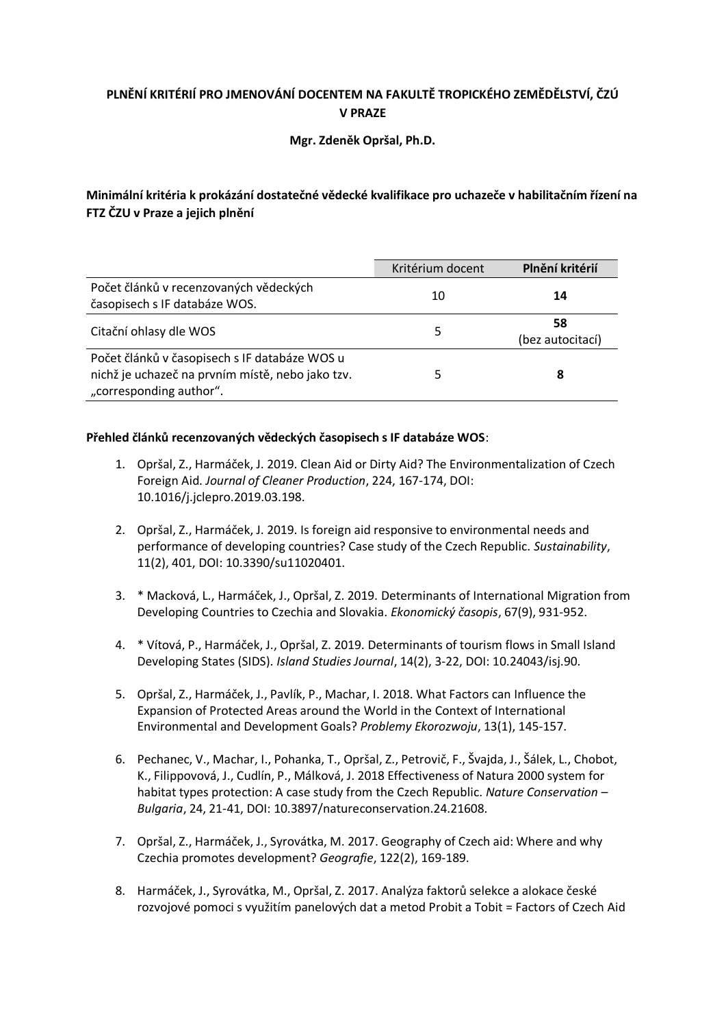# **PLNĚNÍ KRITÉRIÍ PRO JMENOVÁNÍ DOCENTEM NA FAKULTĚ TROPICKÉHO ZEMĚDĚLSTVÍ, ČZÚ V PRAZE**

### **Mgr. Zdeněk Opršal, Ph.D.**

## **Minimální kritéria k prokázání dostatečné vědecké kvalifikace pro uchazeče v habilitačním řízení na FTZ ČZU v Praze a jejich plnění**

|                                                                                                                              | Kritérium docent | Plnění kritérií        |  |
|------------------------------------------------------------------------------------------------------------------------------|------------------|------------------------|--|
| Počet článků v recenzovaných vědeckých<br>časopisech s IF databáze WOS.                                                      | 10               | 14                     |  |
| Citační ohlasy dle WOS                                                                                                       | 5                | 58<br>(bez autocitací) |  |
| Počet článků v časopisech s IF databáze WOS u<br>nichž je uchazeč na prvním místě, nebo jako tzv.<br>"corresponding author". |                  | 8                      |  |

### **Přehled článků recenzovaných vědeckých časopisech s IF databáze WOS**:

- 1. Opršal, Z., Harmáček, J. 2019. Clean Aid or Dirty Aid? The Environmentalization of Czech Foreign Aid. *Journal of Cleaner Production*, 224, 167-174, DOI: 10.1016/j.jclepro.2019.03.198.
- 2. Opršal, Z., Harmáček, J. 2019. Is foreign aid responsive to environmental needs and performance of developing countries? Case study of the Czech Republic. *Sustainability*, 11(2), 401, DOI: 10.3390/su11020401.
- 3. \* Macková, L., Harmáček, J., Opršal, Z. 2019. Determinants of International Migration from Developing Countries to Czechia and Slovakia. *Ekonomický časopis*, 67(9), 931-952.
- 4. \* Vítová, P., Harmáček, J., Opršal, Z. 2019. Determinants of tourism flows in Small Island Developing States (SIDS). *Island Studies Journal*, 14(2), 3-22, DOI: 10.24043/isj.90.
- 5. Opršal, Z., Harmáček, J., Pavlík, P., Machar, I. 2018. What Factors can Influence the Expansion of Protected Areas around the World in the Context of International Environmental and Development Goals? *Problemy Ekorozwoju*, 13(1), 145-157.
- 6. Pechanec, V., Machar, I., Pohanka, T., Opršal, Z., Petrovič, F., Švajda, J., Šálek, L., Chobot, K., Filippovová, J., Cudlín, P., Málková, J. 2018 Effectiveness of Natura 2000 system for habitat types protection: A case study from the Czech Republic. *Nature Conservation – Bulgaria*, 24, 21-41, DOI: 10.3897/natureconservation.24.21608.
- 7. Opršal, Z., Harmáček, J., Syrovátka, M. 2017. Geography of Czech aid: Where and why Czechia promotes development? *Geografie*, 122(2), 169-189.
- 8. Harmáček, J., Syrovátka, M., Opršal, Z. 2017. Analýza faktorů selekce a alokace české rozvojové pomoci s využitím panelových dat a metod Probit a Tobit = Factors of Czech Aid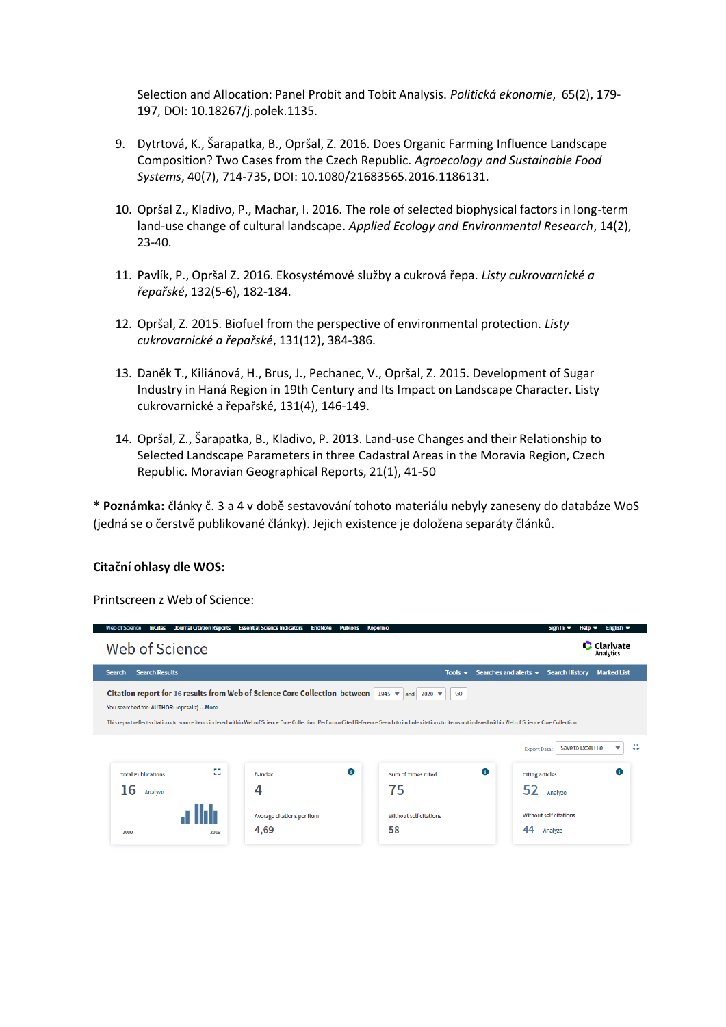Selection and Allocation: Panel Probit and Tobit Analysis. *Politická ekonomie*, 65(2), 179- 197, DOI: 10.18267/j.polek.1135.

- 9. Dytrtová, K., Šarapatka, B., Opršal, Z. 2016. Does Organic Farming Influence Landscape Composition? Two Cases from the Czech Republic. *Agroecology and Sustainable Food Systems*, 40(7), 714-735, DOI: 10.1080/21683565.2016.1186131.
- 10. Opršal Z., Kladivo, P., Machar, I. 2016. The role of selected biophysical factors in long-term land-use change of cultural landscape. *Applied Ecology and Environmental Research*, 14(2), 23-40.
- 11. Pavlík, P., Opršal Z. 2016. Ekosystémové služby a cukrová řepa. *Listy cukrovarnické a řepařské*, 132(5-6), 182-184.
- 12. Opršal, Z. 2015. Biofuel from the perspective of environmental protection. *Listy cukrovarnické a řepařské*, 131(12), 384-386.
- 13. Daněk T., Kiliánová, H., Brus, J., Pechanec, V., Opršal, Z. 2015. Development of Sugar Industry in Haná Region in 19th Century and Its Impact on Landscape Character. Listy cukrovarnické a řepařské, 131(4), 146-149.
- 14. Opršal, Z., Šarapatka, B., Kladivo, P. 2013. Land-use Changes and their Relationship to Selected Landscape Parameters in three Cadastral Areas in the Moravia Region, Czech Republic. Moravian Geographical Reports, 21(1), 41-50

**\* Poznámka:** články č. 3 a 4 v době sestavování tohoto materiálu nebyly zaneseny do databáze WoS (jedná se o čerstvě publikované články). Jejich existence je doložena separáty článků.

#### **Citační ohlasy dle WOS:**

Printscreen z Web of Science:

| <b>Journal Citation Reports</b><br><b>Essential Science Indicators</b><br><b>Web of Science</b><br><b>InCites</b><br><b>EndNote</b><br><b>Kopernio</b><br><b>Publons</b>                                                                                                                                                                                                                                                                                                       |                          |                                    |   |                                     | Sign In $\blacktriangledown$                                 | English $\blacktriangledown$<br>Hein <del>v</del> |                    |
|--------------------------------------------------------------------------------------------------------------------------------------------------------------------------------------------------------------------------------------------------------------------------------------------------------------------------------------------------------------------------------------------------------------------------------------------------------------------------------|--------------------------|------------------------------------|---|-------------------------------------|--------------------------------------------------------------|---------------------------------------------------|--------------------|
| Web of Science                                                                                                                                                                                                                                                                                                                                                                                                                                                                 |                          |                                    |   | <b>C</b> Clarivate<br>Analytics     |                                                              |                                                   |                    |
| <b>Search Results</b><br><b>Search</b>                                                                                                                                                                                                                                                                                                                                                                                                                                         |                          |                                    |   |                                     | Tools $\bullet$ Searches and alerts $\bullet$ Search History |                                                   | <b>Marked List</b> |
| Citation report for 16 results from Web of Science Core Collection between   1945 $\blacktriangledown$ and   2020 $\blacktriangledown$<br>Go<br>You searched for: AUTHOR: (oprsal z)  More<br>This report reflects citations to source items indexed within Web of Science Core Collection. Perform a Cited Reference Search to include citations to items not indexed within Web of Science Core Collection.<br>نا د<br>Save to Excel File<br>v<br><b>Export Data:</b><br>n e |                          |                                    |   |                                     |                                                              |                                                   |                    |
| <b>Total Publications</b>                                                                                                                                                                                                                                                                                                                                                                                                                                                      | <b>PA</b><br><b>Call</b> | h-Index                            | 0 | Sum of Times Cited                  | 0                                                            | <b>Citing articles</b>                            | O                  |
| 16<br>Analyze                                                                                                                                                                                                                                                                                                                                                                                                                                                                  |                          | 4                                  |   | 75                                  | 52                                                           | Analyze                                           |                    |
| 2000                                                                                                                                                                                                                                                                                                                                                                                                                                                                           | 2019                     | Average citations per item<br>4,69 |   | <b>Without self citations</b><br>58 | 44                                                           | Without self citations<br>Analyze                 |                    |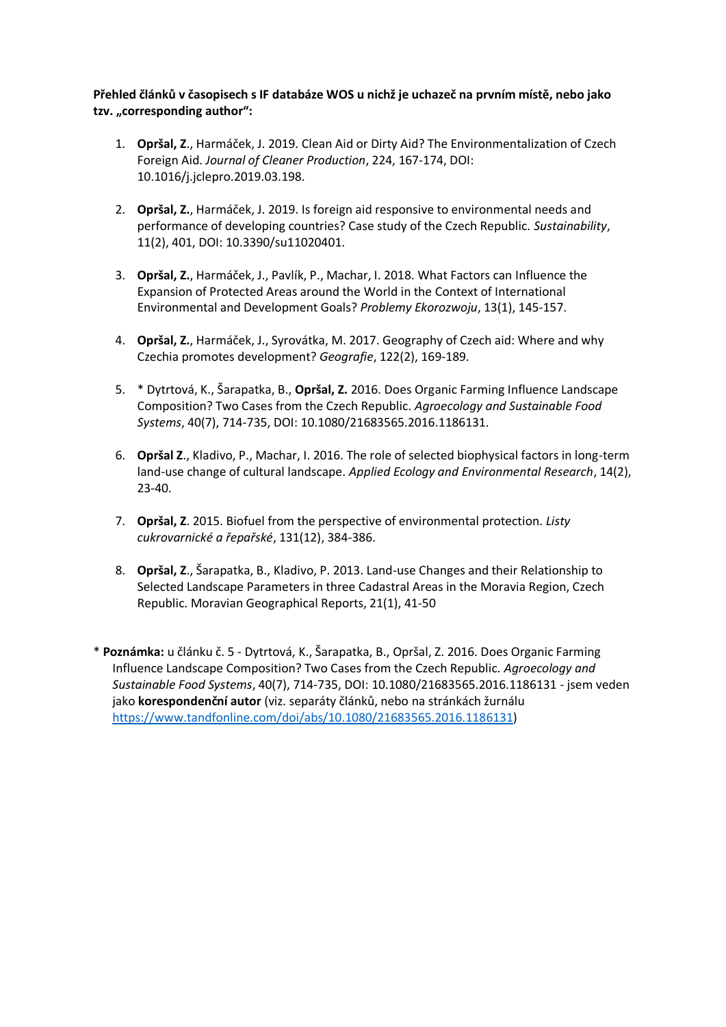**Přehled článků v časopisech s IF databáze WOS u nichž je uchazeč na prvním místě, nebo jako**  tzv. "corresponding author":

- 1. **Opršal, Z**., Harmáček, J. 2019. Clean Aid or Dirty Aid? The Environmentalization of Czech Foreign Aid. *Journal of Cleaner Production*, 224, 167-174, DOI: 10.1016/j.jclepro.2019.03.198.
- 2. **Opršal, Z.**, Harmáček, J. 2019. Is foreign aid responsive to environmental needs and performance of developing countries? Case study of the Czech Republic. *Sustainability*, 11(2), 401, DOI: 10.3390/su11020401.
- 3. **Opršal, Z.**, Harmáček, J., Pavlík, P., Machar, I. 2018. What Factors can Influence the Expansion of Protected Areas around the World in the Context of International Environmental and Development Goals? *Problemy Ekorozwoju*, 13(1), 145-157.
- 4. **Opršal, Z.**, Harmáček, J., Syrovátka, M. 2017. Geography of Czech aid: Where and why Czechia promotes development? *Geografie*, 122(2), 169-189.
- 5. \* Dytrtová, K., Šarapatka, B., **Opršal, Z.** 2016. Does Organic Farming Influence Landscape Composition? Two Cases from the Czech Republic. *Agroecology and Sustainable Food Systems*, 40(7), 714-735, DOI: 10.1080/21683565.2016.1186131.
- 6. **Opršal Z**., Kladivo, P., Machar, I. 2016. The role of selected biophysical factors in long-term land-use change of cultural landscape. *Applied Ecology and Environmental Research*, 14(2), 23-40.
- 7. **Opršal, Z**. 2015. Biofuel from the perspective of environmental protection. *Listy cukrovarnické a řepařské*, 131(12), 384-386.
- 8. **Opršal, Z**., Šarapatka, B., Kladivo, P. 2013. Land-use Changes and their Relationship to Selected Landscape Parameters in three Cadastral Areas in the Moravia Region, Czech Republic. Moravian Geographical Reports, 21(1), 41-50
- \* **Poznámka:** u článku č. 5 Dytrtová, K., Šarapatka, B., Opršal, Z. 2016. Does Organic Farming Influence Landscape Composition? Two Cases from the Czech Republic. *Agroecology and Sustainable Food Systems*, 40(7), 714-735, DOI: 10.1080/21683565.2016.1186131 - jsem veden jako **korespondenční autor** (viz. separáty článků, nebo na stránkách žurnálu [https://www.tandfonline.com/doi/abs/10.1080/21683565.2016.1186131\)](https://www.tandfonline.com/doi/abs/10.1080/21683565.2016.1186131)